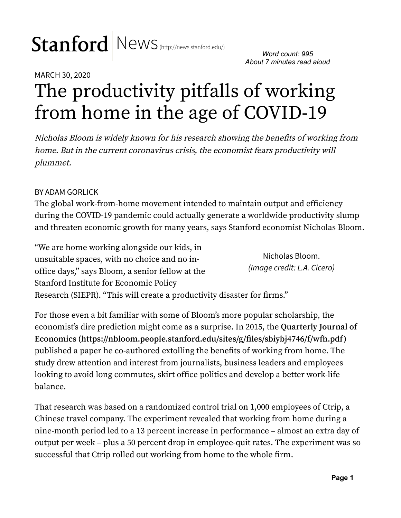# Stanford News (http://news.stanford.edu/)

*Word count: 995 About 7 minutes read aloud*

## MARCH 30, 2020 The productivity pitfalls of working from home in the age of COVID-19

Nicholas Bloom is widely known for his research showing the benefits of working from home. But in the current coronavirus crisis, the economist fears productivity will plummet.

#### BY ADAM GORLICK

The global work-from-home movement intended to maintain output and efficiency during the COVID-19 pandemic could actually generate a worldwide productivity slump and threaten economic growth for many years, says Stanford economist Nicholas Bloom.

Nicholas Bloom. *(Image credit: L.A. Cicero)* "We are home working alongside our kids, in unsuitable spaces, with no choice and no inoffice days," says Bloom, a senior fellow at the Stanford Institute for Economic Policy Research (SIEPR). "This will create a productivity disaster for firms."

For those even a bit familiar with some of Bloom's more popular scholarship, the economist's dire prediction might come as a surprise. In 2015, the **Quarterly Journal of Economics (https://nbloom.people.stanford.edu/sites/g/!les/sbiybj4746/f/wfh.pdf)** published a paper he co-authored extolling the benefits of working from home. The study drew attention and interest from journalists, business leaders and employees looking to avoid long commutes, skirt office politics and develop a better work-life balance.

That research was based on a randomized control trial on 1,000 employees of Ctrip, a Chinese travel company. The experiment revealed that working from home during a nine-month period led to a 13 percent increase in performance – almost an extra day of output per week – plus a 50 percent drop in employee-quit rates. The experiment was so successful that Ctrip rolled out working from home to the whole firm.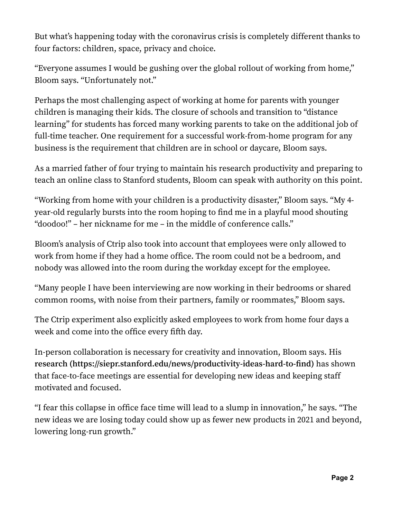But what's happening today with the coronavirus crisis is completely different thanks to four factors: children, space, privacy and choice.

"Everyone assumes I would be gushing over the global rollout of working from home," Bloom says. "Unfortunately not."

Perhaps the most challenging aspect of working at home for parents with younger children is managing their kids. The closure of schools and transition to "distance learning" for students has forced many working parents to take on the additional job of full-time teacher. One requirement for a successful work-from-home program for any business is the requirement that children are in school or daycare, Bloom says.

As a married father of four trying to maintain his research productivity and preparing to teach an online class to Stanford students, Bloom can speak with authority on this point.

"Working from home with your children is a productivity disaster," Bloom says. "My 4 year-old regularly bursts into the room hoping to find me in a playful mood shouting "doodoo!" – her nickname for me – in the middle of conference calls."

Bloom's analysis of Ctrip also took into account that employees were only allowed to work from home if they had a home office. The room could not be a bedroom, and nobody was allowed into the room during the workday except for the employee.

"Many people I have been interviewing are now working in their bedrooms or shared common rooms, with noise from their partners, family or roommates," Bloom says.

The Ctrip experiment also explicitly asked employees to work from home four days a week and come into the office every fifth day.

In-person collaboration is necessary for creativity and innovation, Bloom says. His research (https://siepr.stanford.edu/news/productivity-ideas-hard-to-find) has shown that face-to-face meetings are essential for developing new ideas and keeping staff motivated and focused.

"I fear this collapse in office face time will lead to a slump in innovation," he says. "The new ideas we are losing today could show up as fewer new products in 2021 and beyond, lowering long-run growth."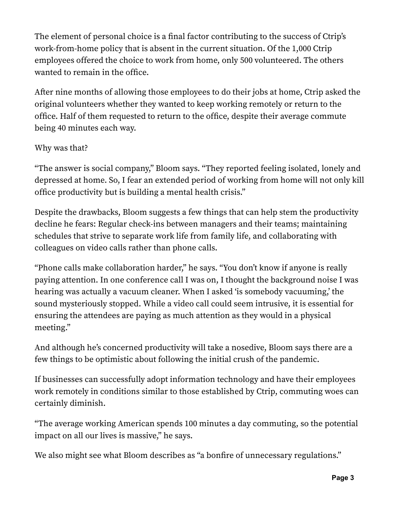The element of personal choice is a final factor contributing to the success of Ctrip's work-from-home policy that is absent in the current situation. Of the 1,000 Ctrip employees offered the choice to work from home, only 500 volunteered. The others wanted to remain in the office.

After nine months of allowing those employees to do their jobs at home, Ctrip asked the original volunteers whether they wanted to keep working remotely or return to the office. Half of them requested to return to the office, despite their average commute being 40 minutes each way.

#### Why was that?

"The answer is social company," Bloom says. "They reported feeling isolated, lonely and depressed at home. So, I fear an extended period of working from home will not only kill office productivity but is building a mental health crisis."

Despite the drawbacks, Bloom suggests a few things that can help stem the productivity decline he fears: Regular check-ins between managers and their teams; maintaining schedules that strive to separate work life from family life, and collaborating with colleagues on video calls rather than phone calls.

"Phone calls make collaboration harder," he says. "You don't know if anyone is really paying attention. In one conference call I was on, I thought the background noise I was hearing was actually a vacuum cleaner. When I asked 'is somebody vacuuming,' the sound mysteriously stopped. While a video call could seem intrusive, it is essential for ensuring the attendees are paying as much attention as they would in a physical meeting."

And although he's concerned productivity will take a nosedive, Bloom says there are a few things to be optimistic about following the initial crush of the pandemic.

If businesses can successfully adopt information technology and have their employees work remotely in conditions similar to those established by Ctrip, commuting woes can certainly diminish.

"The average working American spends 100 minutes a day commuting, so the potential impact on all our lives is massive," he says.

We also might see what Bloom describes as "a bonfire of unnecessary regulations."